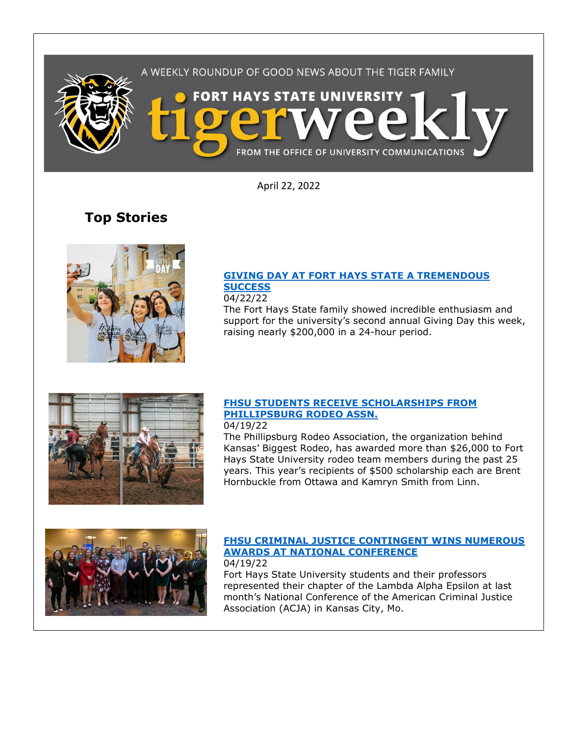

April 22, 2022

# **Top Stories**



## **[GIVING DAY AT FORT HAYS STATE A TREMENDOUS](https://www.fhsu.edu/news/2022/04/giving-day-at-fort-hays-state-a-tremendous-success)  [SUCCESS](https://www.fhsu.edu/news/2022/04/giving-day-at-fort-hays-state-a-tremendous-success)**

04/22/22 The Fort Hays State family showed incredible enthusiasm and support for the university's second annual Giving Day this week,

raising nearly \$200,000 in a 24-hour period.



#### **[FHSU STUDENTS RECEIVE SCHOLARSHIPS FROM](https://www.fhsu.edu/news/2022/04/fhsu-students-receive-scholarships-from-phillipsburg-rodeo-assn.)  [PHILLIPSBURG RODEO ASSN.](https://www.fhsu.edu/news/2022/04/fhsu-students-receive-scholarships-from-phillipsburg-rodeo-assn.)** 04/19/22

The Phillipsburg Rodeo Association, the organization behind Kansas' Biggest Rodeo, has awarded more than \$26,000 to Fort Hays State University rodeo team members during the past 25 years. This year's recipients of \$500 scholarship each are Brent Hornbuckle from Ottawa and Kamryn Smith from Linn.



#### **[FHSU CRIMINAL JUSTICE CONTINGENT WINS NUMEROUS](https://www.fhsu.edu/news/2022/04/fhsu-criminal-justice-contingent-wins-numerous-awards-at-national-conference)  [AWARDS AT NATIONAL CONFERENCE](https://www.fhsu.edu/news/2022/04/fhsu-criminal-justice-contingent-wins-numerous-awards-at-national-conference)** 04/19/22

Fort Hays State University students and their professors represented their chapter of the Lambda Alpha Epsilon at last month's National Conference of the American Criminal Justice Association (ACJA) in Kansas City, Mo.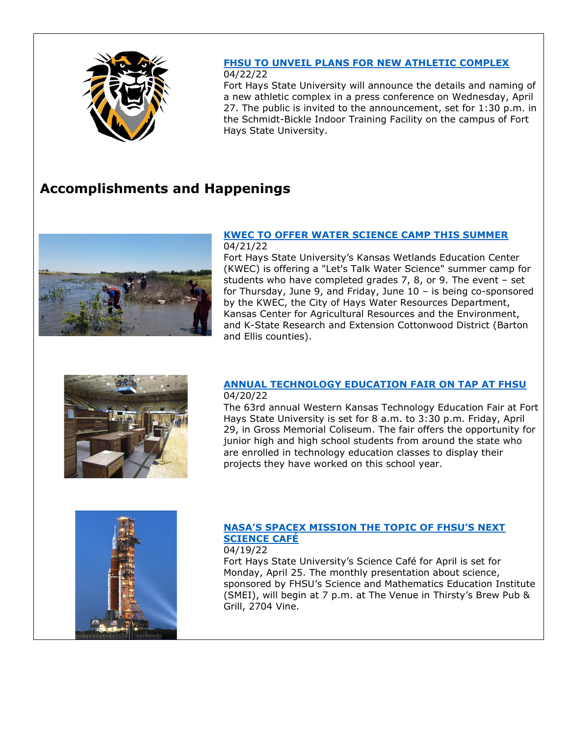

# **[FHSU TO UNVEIL PLANS FOR NEW ATHLETIC COMPLEX](https://www.fhsu.edu/news/2022/04/fhsu-to-unveil-plans-for-new-athletic-complex)**

#### 04/22/22

Fort Hays State University will announce the details and naming of a new athletic complex in a press conference on Wednesday, April 27. The public is invited to the announcement, set for 1:30 p.m. in the Schmidt-Bickle Indoor Training Facility on the campus of Fort Hays State University.

# **Accomplishments and Happenings**



### **[KWEC TO OFFER WATER SCIENCE CAMP THIS SUMMER](https://www.fhsu.edu/news/2022/04/kwec-to-offer-water-science-camp-this-summer)** 04/21/22

Fort Hays State University's Kansas Wetlands Education Center (KWEC) is offering a "Let's Talk Water Science" summer camp for students who have completed grades 7, 8, or 9. The event – set for Thursday, June 9, and Friday, June 10 – is being co-sponsored by the KWEC, the City of Hays Water Resources Department, Kansas Center for Agricultural Resources and the Environment, and K-State Research and Extension Cottonwood District (Barton and Ellis counties).



### **[ANNUAL TECHNOLOGY EDUCATION FAIR ON TAP AT FHSU](https://www.fhsu.edu/news/2022/04/annual-technology-education-fair-on-tap-at-fhsu)** 04/20/22

The 63rd annual Western Kansas Technology Education Fair at Fort Hays State University is set for 8 a.m. to 3:30 p.m. Friday, April 29, in Gross Memorial Coliseum. The fair offers the opportunity for junior high and high school students from around the state who are enrolled in technology education classes to display their projects they have worked on this school year.



## **[NASA'S SPACEX MISSION THE TOPIC OF FHSU'S NEXT](https://www.fhsu.edu/news/2022/04/nasas-spacex-mission-the-topic-of-fhsus-next-science-cafe)  [SCIENCE CAFÉ](https://www.fhsu.edu/news/2022/04/nasas-spacex-mission-the-topic-of-fhsus-next-science-cafe)**

04/19/22

Fort Hays State University's Science Café for April is set for Monday, April 25. The monthly presentation about science, sponsored by FHSU's Science and Mathematics Education Institute (SMEI), will begin at 7 p.m. at The Venue in Thirsty's Brew Pub & Grill, 2704 Vine.